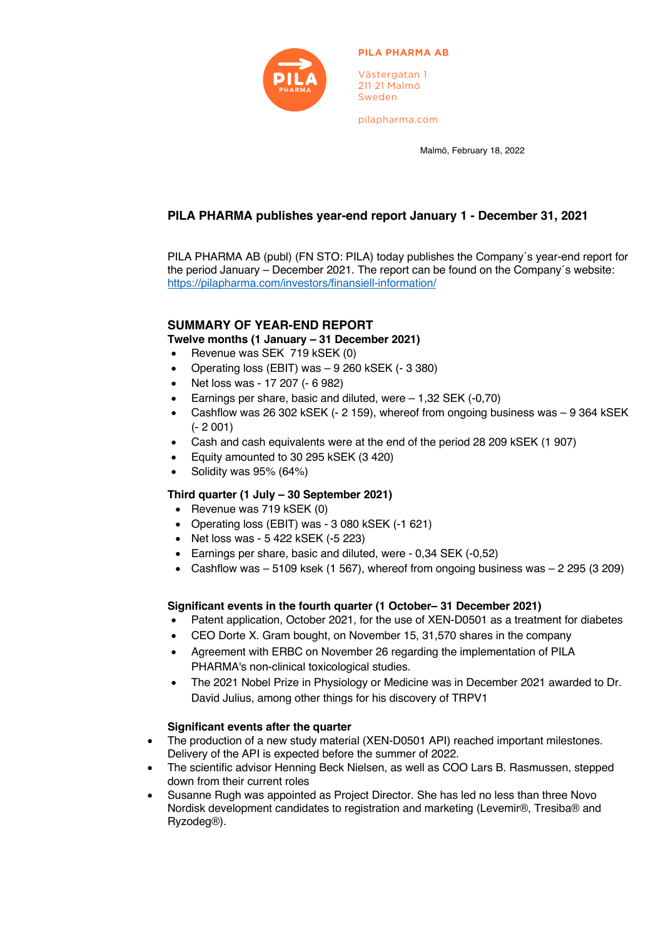

#### **PILA PHARMA AB**

Västergatan 1 211 21 Malmö Sweden

pilapharma.com

Malmö, February 18, 2022

# **PILA PHARMA publishes year-end report January 1 - December 31, 2021**

PILA PHARMA AB (publ) (FN STO: PILA) today publishes the Company´s year-end report for the period January – December 2021. The report can be found on the Company´s website: https://pilapharma.com/investors/finansiell-information/

# **SUMMARY OF YEAR-END REPORT**

**Twelve months (1 January – 31 December 2021)**

- Revenue was SEK 719 kSEK (0)
- Operating loss (EBIT) was 9 260 kSEK (- 3 380)
- Net loss was 17 207 (- 6 982)
- Earnings per share, basic and diluted, were 1,32 SEK (-0,70)
- Cashflow was 26 302 kSEK (- 2 159), whereof from ongoing business was 9 364 kSEK (- 2 001)
- Cash and cash equivalents were at the end of the period 28 209 kSEK (1 907)
- Equity amounted to 30 295 kSEK (3 420)
- Solidity was 95% (64%)

# **Third quarter (1 July – 30 September 2021)**

- Revenue was 719 kSEK (0)
- Operating loss (EBIT) was 3 080 kSEK (-1 621)
- Net loss was 5 422 kSEK (-5 223)
- Earnings per share, basic and diluted, were 0,34 SEK (-0,52)
- Cashflow was  $-5109$  ksek (1 567), whereof from ongoing business was  $-2295(3209)$

## **Significant events in the fourth quarter (1 October– 31 December 2021)**

- Patent application, October 2021, for the use of XEN-D0501 as a treatment for diabetes
- CEO Dorte X. Gram bought, on November 15, 31,570 shares in the company
- Agreement with ERBC on November 26 regarding the implementation of PILA PHARMA's non-clinical toxicological studies.
- The 2021 Nobel Prize in Physiology or Medicine was in December 2021 awarded to Dr. David Julius, among other things for his discovery of TRPV1

## **Significant events after the quarter**

- The production of a new study material (XEN-D0501 API) reached important milestones. Delivery of the API is expected before the summer of 2022.
- The scientific advisor Henning Beck Nielsen, as well as COO Lars B. Rasmussen, stepped down from their current roles
- Susanne Rugh was appointed as Project Director. She has led no less than three Novo Nordisk development candidates to registration and marketing (Levemir®, Tresiba® and Ryzodeg®).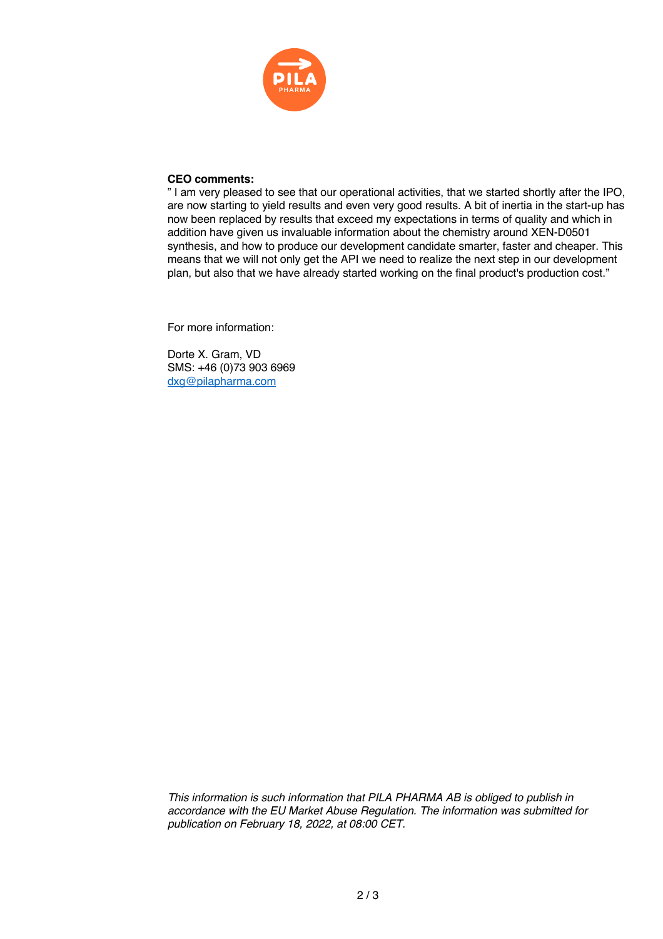

#### **CEO comments:**

" I am very pleased to see that our operational activities, that we started shortly after the IPO, are now starting to yield results and even very good results. A bit of inertia in the start-up has now been replaced by results that exceed my expectations in terms of quality and which in addition have given us invaluable information about the chemistry around XEN-D0501 synthesis, and how to produce our development candidate smarter, faster and cheaper. This means that we will not only get the API we need to realize the next step in our development plan, but also that we have already started working on the final product's production cost."

For more information:

Dorte X. Gram, VD SMS: +46 (0)73 903 6969 dxg@pilapharma.com

*This information is such information that PILA PHARMA AB is obliged to publish in accordance with the EU Market Abuse Regulation. The information was submitted for publication on February 18, 2022, at 08:00 CET.*